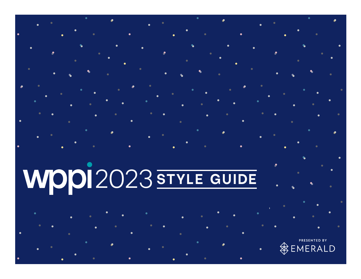# **WPPI2023 STYLE GUIDE**

 $\mathsf{D}$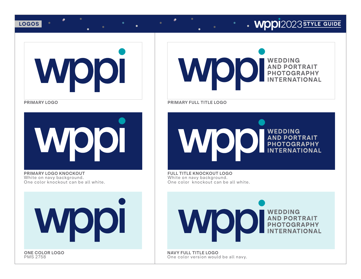## **LOGOS** 2023 **STYLE** GUIDE



**PRIMARY LOGO**



**PRIMARY LOGO KNOCKOUT** White on navy background. One color knockout can be all white.

**WOOI** 

**ONE COLOR LOGO PMS 2758** 



**PRIMARY FULL TITLE LOGO**



**FULL TITLE KNOCKOUT LOGO** White on navy background. One color knockout can be all white.



**NAVY FULL TITLE LOGO** One color version would be all navy.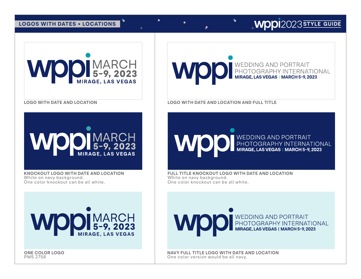## **LOGOS WITH DATES + LOCATIONS**



**LOGO WITH DATE AND LOCATION**



**KNOCKOUT LOGO WITH DATE AND LOCATION** White on navy background. One color knockout can be all white.



**ONE COLOR LOGO PMS 2758** 



**LOGO WITH DATE AND LOCATION AND FULL TITLE**

WEDDING AND PORTRAIT

**FULL TITLE KNOCKOUT LOGO WITH DATE AND LOCATION** White on navy background. One color knockout can be all white.

WEDDING AND PORTRAIT

**NAVY FULL TITLE LOGO WITH DATE AND LOCATION** One color version would be all navy.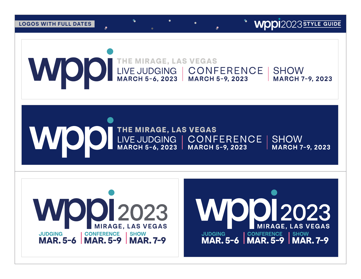**LOGOS WITH FULL DATES** 

**WDDI**2023 STYLE GUIDE



# WOO INE MIRAGE, LAS VEGAS<br>MARCH 5-6, 2023 | MARCH 5-9, 2023 **SHOW MARCH 7-9, 2023**

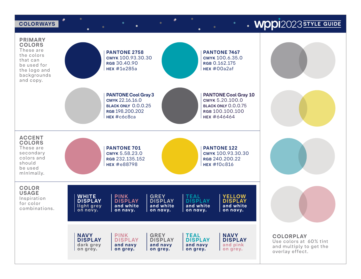#### **COLORWAYS**

 $\bullet$ 

## • **WPPI**2023 STYLE GUIDE

**PRIMARY COLORS** These are **PANTONE 2758 PANTONE 7467** the colors СМУК 100.93.30.30 СМУК 100.6.35.0 that can RGB 30.40.90 RGB 0.162.175 be used for **HEX #1e285a**  $HEX #00a2af$ the logo and backgrounds and copy. **PANTONE Cool Gray 3 PANTONE Cool Gray 10** CMYK 22.16.16.0 СМУК 5.20.100.0 BLACK ONLY 0.0.0.25 **BLACK ONLY 0.0.0.75** RGB 198.200.202 RGB 100.100.100 HEX #c6c8ca HFX #646464 **ACCENT COLORS PANTONE 701 PANTONE 122** These are secondary CMYK 5.58.23.0 смук 100.93.30.30 colors and RGB 232.135.152 RGB 240.200.22 should **HEX #e88798** HEX  $#f0c816$ be used minimally. **COLOR USAGE** PINK<br>DISPLAY **GREY<br>DISPLAY WHITE**<br>DISPLAY **TEAL<br>DISPLAY YELLOW** Inspiration **DISPLAY** for color and white liaht arev and white and white and white combinations. on navy. on navv. on navv. on navy. on navy. **NAVY PINK GREY TEAL NAVY DISPLAY DISPLAY DISPLAY DISPLAY DISPLAY** dark grey and navy and navy and navy and pink on grey. on grey. on grey. on grey. on grey.

 $\bullet$ 







**COLORPLAY** Use colors at 60% tint and multiply to get the overlav effect.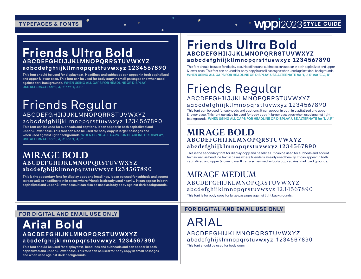## **TYPEFACES & FONTS**

## **Friends Ultra Bold ABCDEFGHI IJJKLMNOPQRRSTUVWXYZ aabcdefghiijkllmnopqrsttuvwxyz 1234567890**

**This font should be used for display text. Headlines and subheads can appear in both capitalized and upper & lower case. This font can be used for body copy in small passages and when used against dark backgrounds. WHEN USING ALL CAPS FOR HEADLINE OR DISPLAY, USE ALTERNATE for "I, J, R" not "I, J, R"**

## Friends Regular ABCDEFGHI IJJKLMNOPQRRSTUVWXYZ aabcdefghiijkllmnopqrsttuvwxyz 1234567890

**This font can be used for subheads and captions. It can appear in both capitalized and upper & lower case. This font can also be used for body copy in larger passages and when used against light backgrounds. WHEN USING ALL CAPS FOR HEADLINE OR DISPLAY, USE ALTERNATE for "I, J, R" not "I, J, R"**

### **MIRAGE BOLD ABCDEFGHIJKLMNOPQRSTUVWXYZ abcdefghijklmnopqrstuvwxyz 1234567890**

**This is the secondary font for display copy and headlines. It can be used for subheds and accent text as well as headline text in cases where friends is already used heavily. It can appear in both capitalized and upper & lower case. It can also be used as body copy against dark backgrounds.**

## **Friends Ultra Bold ABCDEFGHI IJJKLMNOPQRRSTUVWXYZ aabcdefghiijkllmnopqrsttuvwxyz 1234567890**

This font should be used for display text. Headlines and subheads can appear in both capitalized and upper & lower case. This font can be used for body copy in small passages when used against dark backgrounds. **WHEN USING ALL CAPS FOR HEADLINE OR DISPLAY, USE ALTERNATE for "I, J, R" not "I, J, R"**

## Friends Regular ABCDEFGHI IJJKLMNOPQRRSTUVWXYZ aabcdefghiijkllmnopqrsttuvwxyz 1234567890

This font can be used for subheads and captions. It can appear in both in capitalized and upper & lower case. This font can also be used for body copy in larger passages when used against light backgrounds. **WHEN USING ALL CAPS FOR HEADLINE OR DISPLAY, USE ALTERNATE for "I, J, R"** 

## **MIRAGE BOLD ABCDEFGHIJKLMNOPQRSTUVWXYZ abcdefghijklmnopqrstuvwxyz 1234567890**

This is the secondary font for display copy and headlines. It can be used for subheds and accent text as well as headline text in cases where friends is already used heavily. It can appear in both capitalized and upper & lower case. It can also be used as body copy against dark backgrounds.

## MIRAGE MEDIUM ABCDEFGHIJKLMNOPQRSTUVWXYZ abcdefghijklmnopqrstuvwxyz 1234567890

This font is for body copy for large passages against light backgrounds.

#### **FOR DIGITAL AND EMAIL USE ONLY**

## **Arial Bold ABCDEFGHIJKLMNOPQRSTUVWXYZ abcdefghijklmnopqrstuvwxyz 1234567890**

**This font should be used for display text, headlines and subheads and can appear in both capitalized and upper & lower case. This font can be used for body copy in small passages and when used against dark backgrounds.**

#### **FOR DIGITAL AND EMAIL USE ONLY**

ARIAL

ABCDEFGHIJKLMNOPQRSTUVWXYZ abcdefghijklmnopqrstuvwxyz 1234567890 This font should be used for body copy.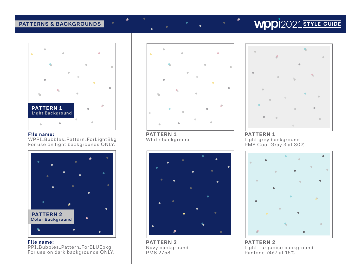#### **PATTERNS & BACKGROUNDS**

# $\blacksquare$ **PATTERN 1 Light Background**  $\blacksquare$

#### **File name:**

WPPI\_Bubbles\_Pattern\_ForLightBkg For use on light backgrounds ONLY.



**File name:** PPI\_Bubbles\_Pattern\_ForBLUEbkg For use on dark backgrounds ONLY.



**PATTERN 1** White background

 $\bullet$ 



**PATTERN 2** Navy background PMS 2758

## **WDDI**2021 STYLE GUIDE



**PATTERN 1** Light grey background PMS Cool Gray 3 at 30%



**PATTERN 2** Light Turquoise background Pantone 7467 at 15%